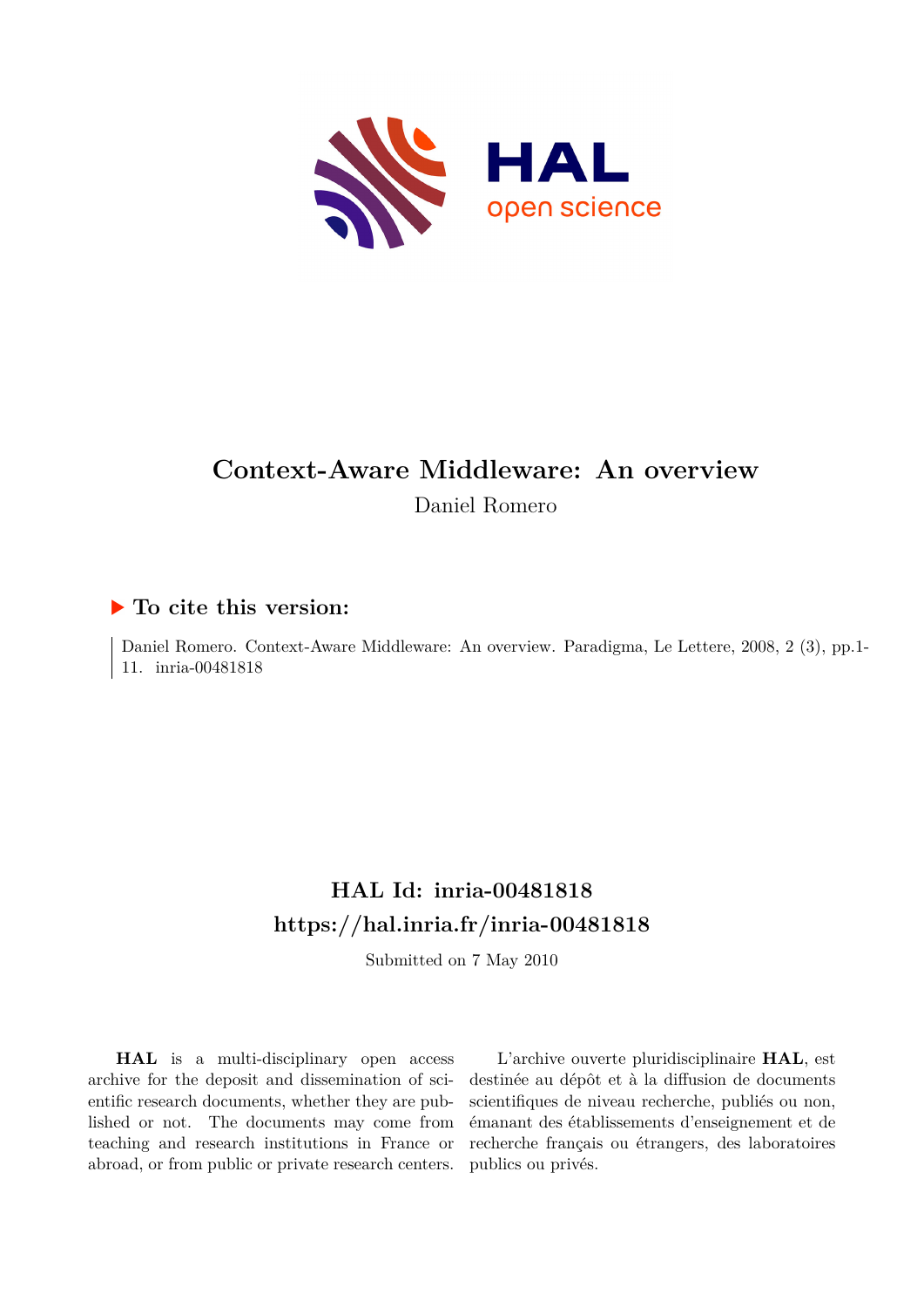

# **Context-Aware Middleware: An overview** Daniel Romero

# **To cite this version:**

Daniel Romero. Context-Aware Middleware: An overview. Paradigma, Le Lettere, 2008, 2 (3), pp.1- 11. inria-00481818

# **HAL Id: inria-00481818 <https://hal.inria.fr/inria-00481818>**

Submitted on 7 May 2010

**HAL** is a multi-disciplinary open access archive for the deposit and dissemination of scientific research documents, whether they are published or not. The documents may come from teaching and research institutions in France or abroad, or from public or private research centers.

L'archive ouverte pluridisciplinaire **HAL**, est destinée au dépôt et à la diffusion de documents scientifiques de niveau recherche, publiés ou non, émanant des établissements d'enseignement et de recherche français ou étrangers, des laboratoires publics ou privés.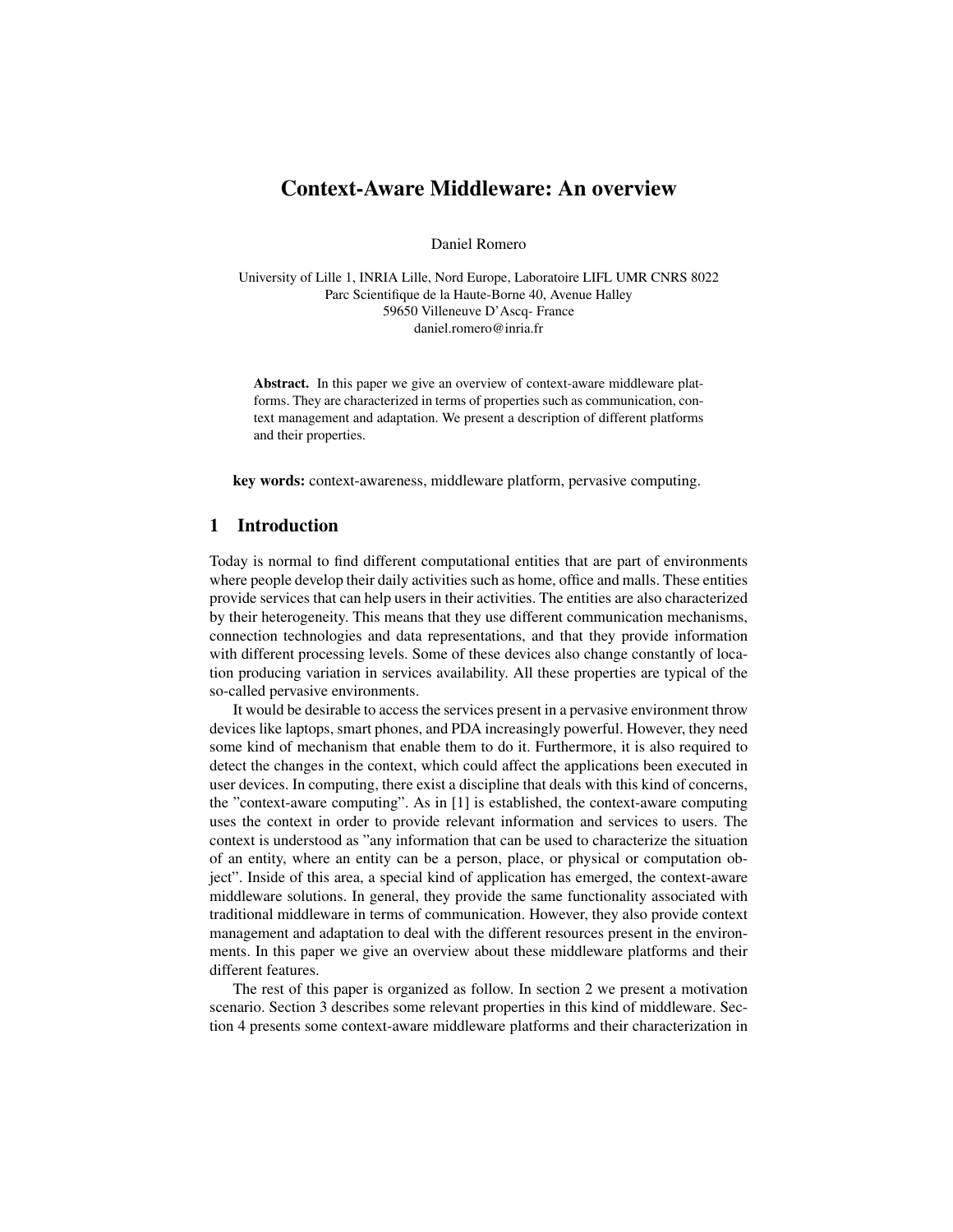# Context-Aware Middleware: An overview

Daniel Romero

University of Lille 1, INRIA Lille, Nord Europe, Laboratoire LIFL UMR CNRS 8022 Parc Scientifique de la Haute-Borne 40, Avenue Halley 59650 Villeneuve D'Ascq- France daniel.romero@inria.fr

Abstract. In this paper we give an overview of context-aware middleware platforms. They are characterized in terms of properties such as communication, context management and adaptation. We present a description of different platforms and their properties.

key words: context-awareness, middleware platform, pervasive computing.

## 1 Introduction

Today is normal to find different computational entities that are part of environments where people develop their daily activities such as home, office and malls. These entities provide services that can help users in their activities. The entities are also characterized by their heterogeneity. This means that they use different communication mechanisms, connection technologies and data representations, and that they provide information with different processing levels. Some of these devices also change constantly of location producing variation in services availability. All these properties are typical of the so-called pervasive environments.

It would be desirable to access the services present in a pervasive environment throw devices like laptops, smart phones, and PDA increasingly powerful. However, they need some kind of mechanism that enable them to do it. Furthermore, it is also required to detect the changes in the context, which could affect the applications been executed in user devices. In computing, there exist a discipline that deals with this kind of concerns, the "context-aware computing". As in [1] is established, the context-aware computing uses the context in order to provide relevant information and services to users. The context is understood as "any information that can be used to characterize the situation of an entity, where an entity can be a person, place, or physical or computation object". Inside of this area, a special kind of application has emerged, the context-aware middleware solutions. In general, they provide the same functionality associated with traditional middleware in terms of communication. However, they also provide context management and adaptation to deal with the different resources present in the environments. In this paper we give an overview about these middleware platforms and their different features.

The rest of this paper is organized as follow. In section 2 we present a motivation scenario. Section 3 describes some relevant properties in this kind of middleware. Section 4 presents some context-aware middleware platforms and their characterization in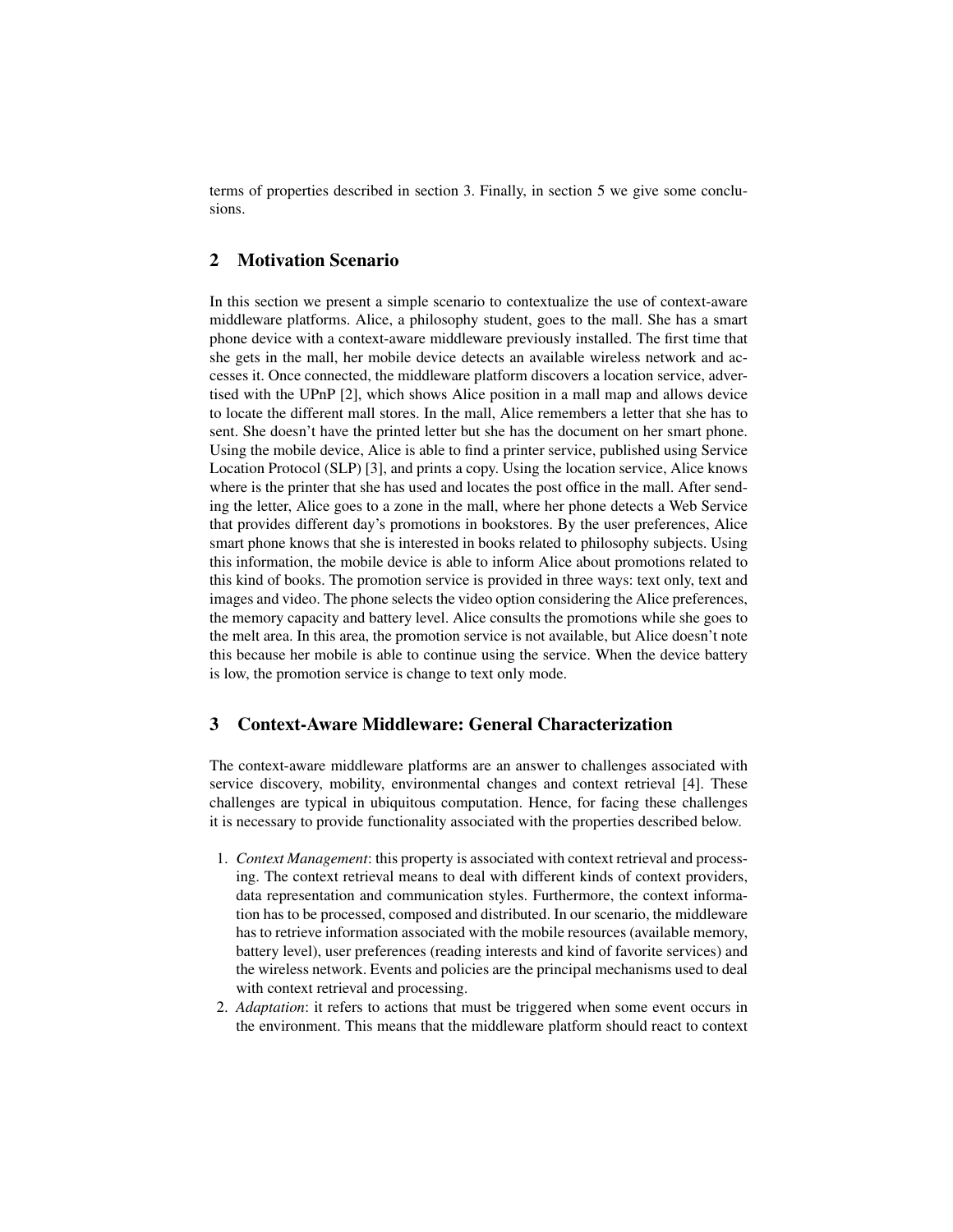terms of properties described in section 3. Finally, in section 5 we give some conclusions.

## 2 Motivation Scenario

In this section we present a simple scenario to contextualize the use of context-aware middleware platforms. Alice, a philosophy student, goes to the mall. She has a smart phone device with a context-aware middleware previously installed. The first time that she gets in the mall, her mobile device detects an available wireless network and accesses it. Once connected, the middleware platform discovers a location service, advertised with the UPnP [2], which shows Alice position in a mall map and allows device to locate the different mall stores. In the mall, Alice remembers a letter that she has to sent. She doesn't have the printed letter but she has the document on her smart phone. Using the mobile device, Alice is able to find a printer service, published using Service Location Protocol (SLP) [3], and prints a copy. Using the location service, Alice knows where is the printer that she has used and locates the post office in the mall. After sending the letter, Alice goes to a zone in the mall, where her phone detects a Web Service that provides different day's promotions in bookstores. By the user preferences, Alice smart phone knows that she is interested in books related to philosophy subjects. Using this information, the mobile device is able to inform Alice about promotions related to this kind of books. The promotion service is provided in three ways: text only, text and images and video. The phone selects the video option considering the Alice preferences, the memory capacity and battery level. Alice consults the promotions while she goes to the melt area. In this area, the promotion service is not available, but Alice doesn't note this because her mobile is able to continue using the service. When the device battery is low, the promotion service is change to text only mode.

## 3 Context-Aware Middleware: General Characterization

The context-aware middleware platforms are an answer to challenges associated with service discovery, mobility, environmental changes and context retrieval [4]. These challenges are typical in ubiquitous computation. Hence, for facing these challenges it is necessary to provide functionality associated with the properties described below.

- 1. *Context Management*: this property is associated with context retrieval and processing. The context retrieval means to deal with different kinds of context providers, data representation and communication styles. Furthermore, the context information has to be processed, composed and distributed. In our scenario, the middleware has to retrieve information associated with the mobile resources (available memory, battery level), user preferences (reading interests and kind of favorite services) and the wireless network. Events and policies are the principal mechanisms used to deal with context retrieval and processing.
- 2. *Adaptation*: it refers to actions that must be triggered when some event occurs in the environment. This means that the middleware platform should react to context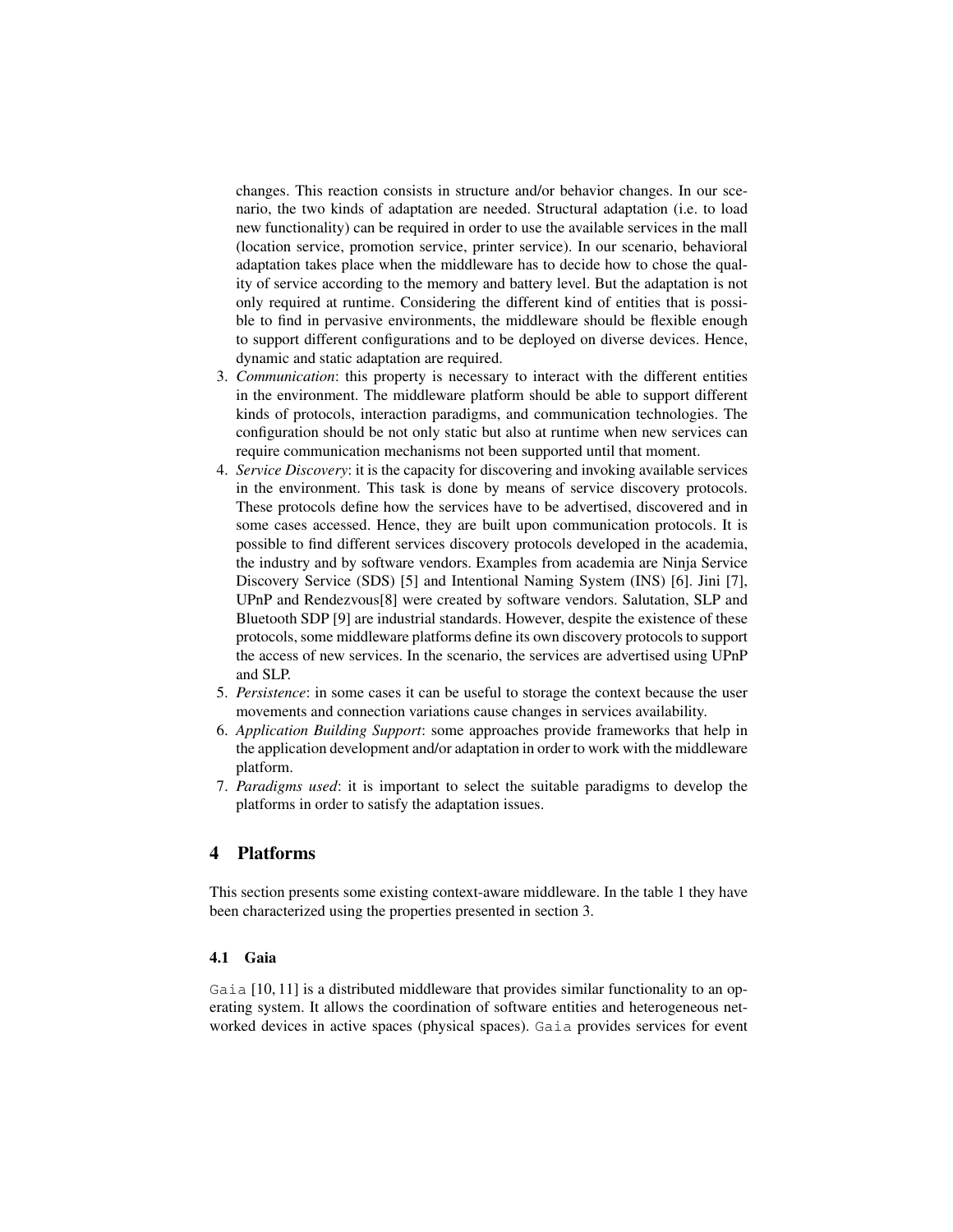changes. This reaction consists in structure and/or behavior changes. In our scenario, the two kinds of adaptation are needed. Structural adaptation (i.e. to load new functionality) can be required in order to use the available services in the mall (location service, promotion service, printer service). In our scenario, behavioral adaptation takes place when the middleware has to decide how to chose the quality of service according to the memory and battery level. But the adaptation is not only required at runtime. Considering the different kind of entities that is possible to find in pervasive environments, the middleware should be flexible enough to support different configurations and to be deployed on diverse devices. Hence, dynamic and static adaptation are required.

- 3. *Communication*: this property is necessary to interact with the different entities in the environment. The middleware platform should be able to support different kinds of protocols, interaction paradigms, and communication technologies. The configuration should be not only static but also at runtime when new services can require communication mechanisms not been supported until that moment.
- 4. *Service Discovery*: it is the capacity for discovering and invoking available services in the environment. This task is done by means of service discovery protocols. These protocols define how the services have to be advertised, discovered and in some cases accessed. Hence, they are built upon communication protocols. It is possible to find different services discovery protocols developed in the academia, the industry and by software vendors. Examples from academia are Ninja Service Discovery Service (SDS) [5] and Intentional Naming System (INS) [6]. Jini [7], UPnP and Rendezvous[8] were created by software vendors. Salutation, SLP and Bluetooth SDP [9] are industrial standards. However, despite the existence of these protocols, some middleware platforms define its own discovery protocols to support the access of new services. In the scenario, the services are advertised using UPnP and SLP.
- 5. *Persistence*: in some cases it can be useful to storage the context because the user movements and connection variations cause changes in services availability.
- 6. *Application Building Support*: some approaches provide frameworks that help in the application development and/or adaptation in order to work with the middleware platform.
- 7. *Paradigms used*: it is important to select the suitable paradigms to develop the platforms in order to satisfy the adaptation issues.

### 4 Platforms

This section presents some existing context-aware middleware. In the table 1 they have been characterized using the properties presented in section 3.

#### 4.1 Gaia

Gaia [10, 11] is a distributed middleware that provides similar functionality to an operating system. It allows the coordination of software entities and heterogeneous networked devices in active spaces (physical spaces). Gaia provides services for event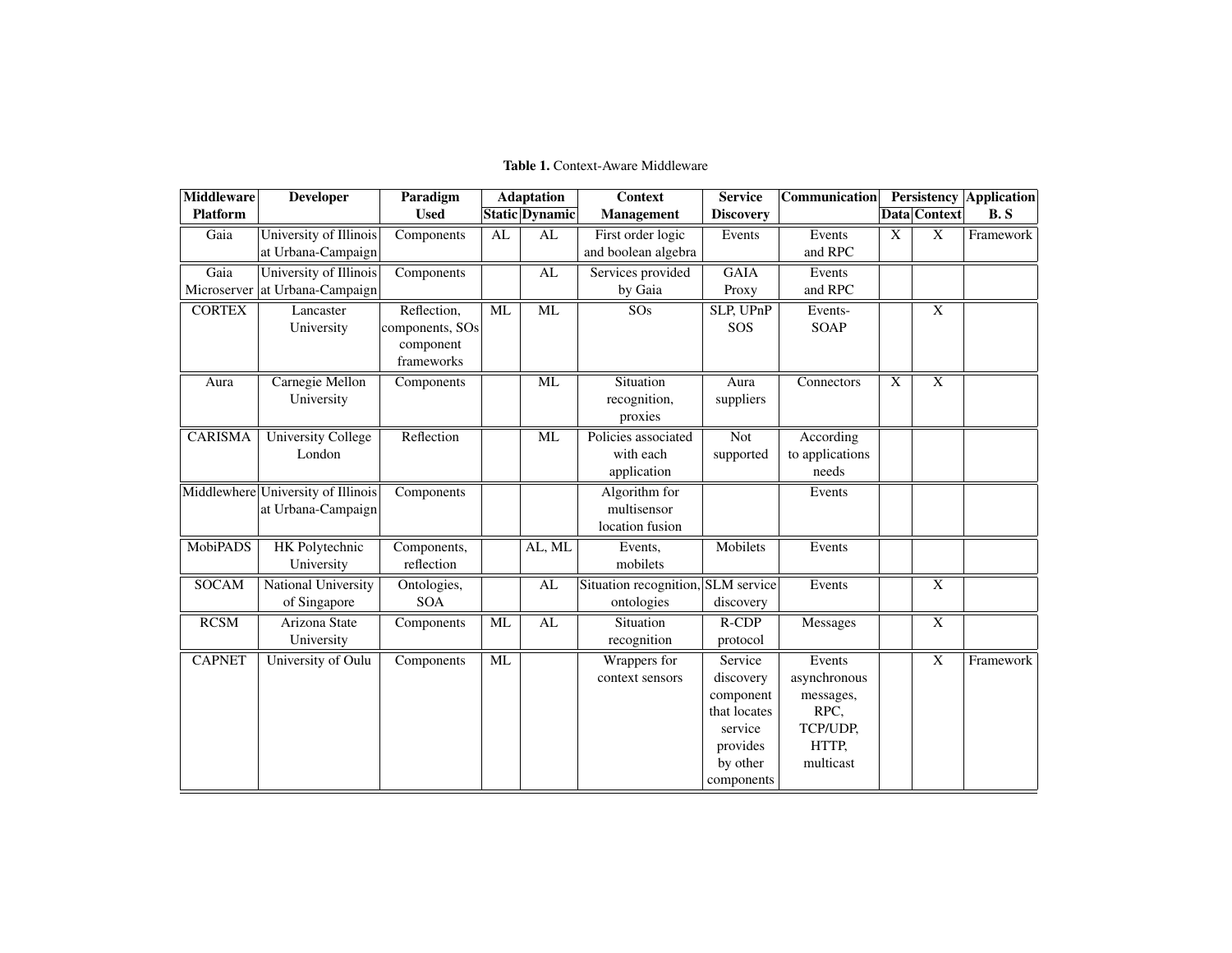#### Table 1. Context-Aware Middleware

| <b>Middleware</b> | <b>Developer</b>                   | Paradigm        |           | <b>Adaptation</b>      | <b>Context</b>                     | <b>Service</b>          | <b>Communication</b> |                |                         | <b>Persistency Application</b> |
|-------------------|------------------------------------|-----------------|-----------|------------------------|------------------------------------|-------------------------|----------------------|----------------|-------------------------|--------------------------------|
| <b>Platform</b>   |                                    | <b>Used</b>     |           | <b>Static Dynamic</b>  | Management                         | <b>Discovery</b>        |                      |                | Data Context            | B.S                            |
| Gaia              | University of Illinois             | Components      | AL        | AL                     | First order logic                  | Events                  | Events               | X              | $\overline{X}$          | Framework                      |
|                   | at Urbana-Campaign                 |                 |           |                        | and boolean algebra                |                         | and RPC              |                |                         |                                |
| Gaia              | University of Illinois             | Components      |           | AL                     | Services provided                  | <b>GAIA</b>             | Events               |                |                         |                                |
| Microserver       | at Urbana-Campaign                 |                 |           |                        | by Gaia                            | Proxy                   | and RPC              |                |                         |                                |
| <b>CORTEX</b>     | Lancaster                          | Reflection,     | ML        | ML                     | SOs                                | SLP, UPnP               | Events-              |                | $\overline{\mathbf{X}}$ |                                |
|                   | University                         | components, SOs |           |                        |                                    | SOS                     | <b>SOAP</b>          |                |                         |                                |
|                   |                                    | component       |           |                        |                                    |                         |                      |                |                         |                                |
|                   |                                    | frameworks      |           |                        |                                    |                         |                      |                |                         |                                |
| Aura              | Carnegie Mellon                    | Components      |           | <b>ML</b>              | Situation                          | Aura                    | Connectors           | $\overline{X}$ | $\overline{\mathrm{X}}$ |                                |
|                   | University                         |                 |           |                        | recognition,                       | suppliers               |                      |                |                         |                                |
|                   |                                    |                 |           |                        | proxies                            |                         |                      |                |                         |                                |
| <b>CARISMA</b>    | <b>University College</b>          | Reflection      |           | $\overline{\text{ML}}$ | Policies associated                | $\overline{\text{Not}}$ | According            |                |                         |                                |
|                   | London                             |                 |           |                        | with each                          | supported               | to applications      |                |                         |                                |
|                   |                                    |                 |           |                        | application                        |                         | needs                |                |                         |                                |
|                   | Middlewhere University of Illinois | Components      |           |                        | Algorithm for                      |                         | Events               |                |                         |                                |
|                   | at Urbana-Campaign                 |                 |           |                        | multisensor                        |                         |                      |                |                         |                                |
|                   |                                    |                 |           |                        | location fusion                    |                         |                      |                |                         |                                |
| MobiPADS          | <b>HK</b> Polytechnic              | Components,     |           | AL, ML                 | Events,                            | Mobilets                | Events               |                |                         |                                |
|                   | University                         | reflection      |           |                        | mobilets                           |                         |                      |                |                         |                                |
| <b>SOCAM</b>      | <b>National University</b>         | Ontologies,     |           | AL                     | Situation recognition, SLM service |                         | Events               |                | $\overline{\mathrm{X}}$ |                                |
|                   | of Singapore                       | <b>SOA</b>      |           |                        | ontologies                         | discovery               |                      |                |                         |                                |
| RCSM              | Arizona State                      | Components      | ML        | $\overline{\text{AL}}$ | Situation                          | $R$ -CDP                | Messages             |                | $\overline{\mathbf{X}}$ |                                |
|                   | University                         |                 |           |                        | recognition                        | protocol                |                      |                |                         |                                |
| <b>CAPNET</b>     | University of Oulu                 | Components      | <b>ML</b> |                        | Wrappers for                       | Service                 | Events               |                | $\overline{X}$          | Framework                      |
|                   |                                    |                 |           |                        | context sensors                    | discovery               | asynchronous         |                |                         |                                |
|                   |                                    |                 |           |                        |                                    | component               | messages,            |                |                         |                                |
|                   |                                    |                 |           |                        |                                    | that locates            | RPC.                 |                |                         |                                |
|                   |                                    |                 |           |                        |                                    | service                 | TCP/UDP,             |                |                         |                                |
|                   |                                    |                 |           |                        |                                    | provides                | HTTP,                |                |                         |                                |
|                   |                                    |                 |           |                        |                                    | by other                | multicast            |                |                         |                                |
|                   |                                    |                 |           |                        |                                    | components              |                      |                |                         |                                |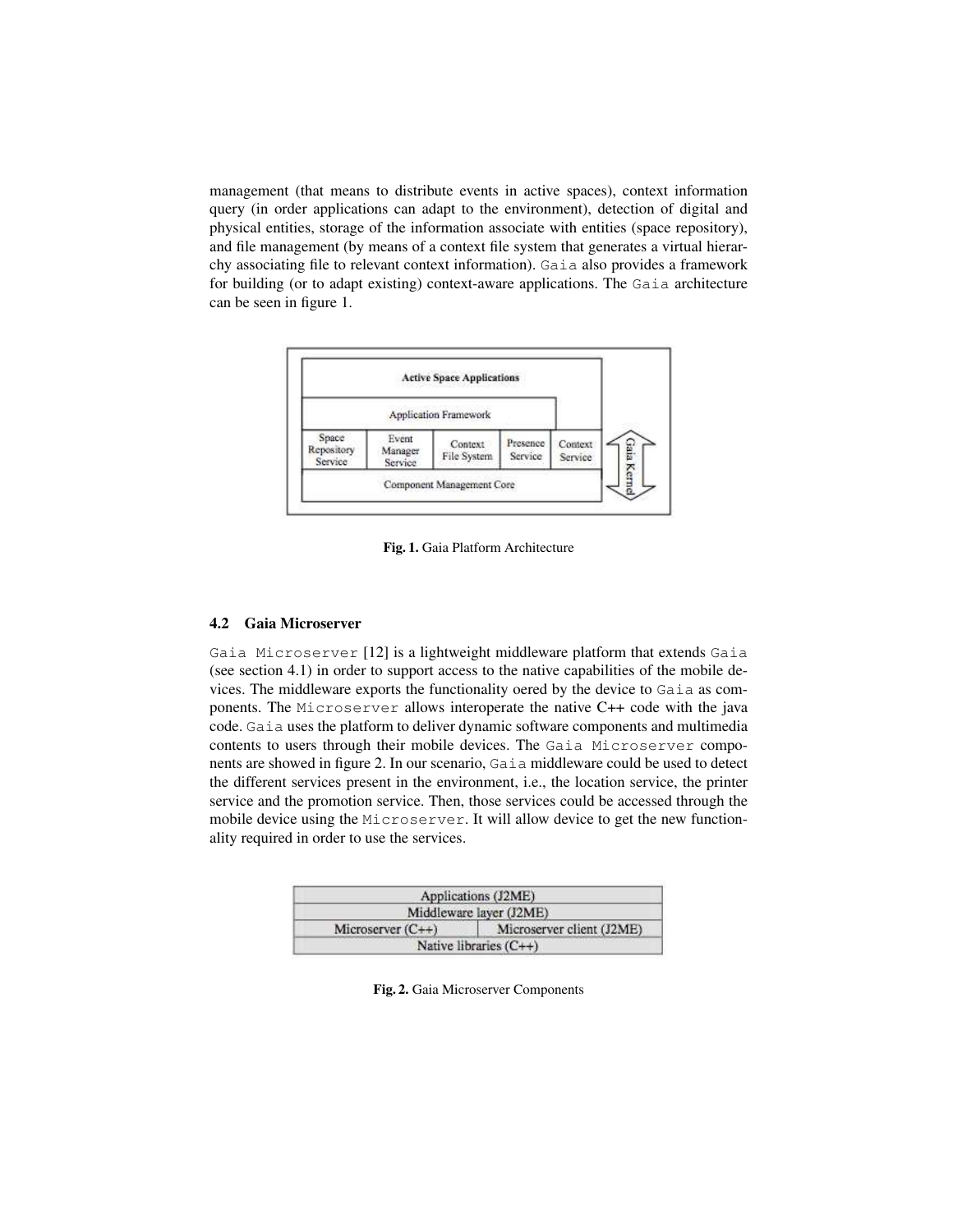management (that means to distribute events in active spaces), context information query (in order applications can adapt to the environment), detection of digital and physical entities, storage of the information associate with entities (space repository), and file management (by means of a context file system that generates a virtual hierarchy associating file to relevant context information). Gaia also provides a framework for building (or to adapt existing) context-aware applications. The Gaia architecture can be seen in figure 1.



Fig. 1. Gaia Platform Architecture

#### 4.2 Gaia Microserver

Gaia Microserver [12] is a lightweight middleware platform that extends Gaia (see section 4.1) in order to support access to the native capabilities of the mobile devices. The middleware exports the functionality oered by the device to Gaia as components. The Microserver allows interoperate the native C++ code with the java code. Gaia uses the platform to deliver dynamic software components and multimedia contents to users through their mobile devices. The Gaia Microserver components are showed in figure 2. In our scenario, Gaia middleware could be used to detect the different services present in the environment, i.e., the location service, the printer service and the promotion service. Then, those services could be accessed through the mobile device using the Microserver. It will allow device to get the new functionality required in order to use the services.

|                     | Applications (J2ME)       |
|---------------------|---------------------------|
|                     | Middleware layer (J2ME)   |
| Microserver $(C++)$ | Microserver client (J2ME) |
|                     | Native libraries $(C++)$  |

Fig. 2. Gaia Microserver Components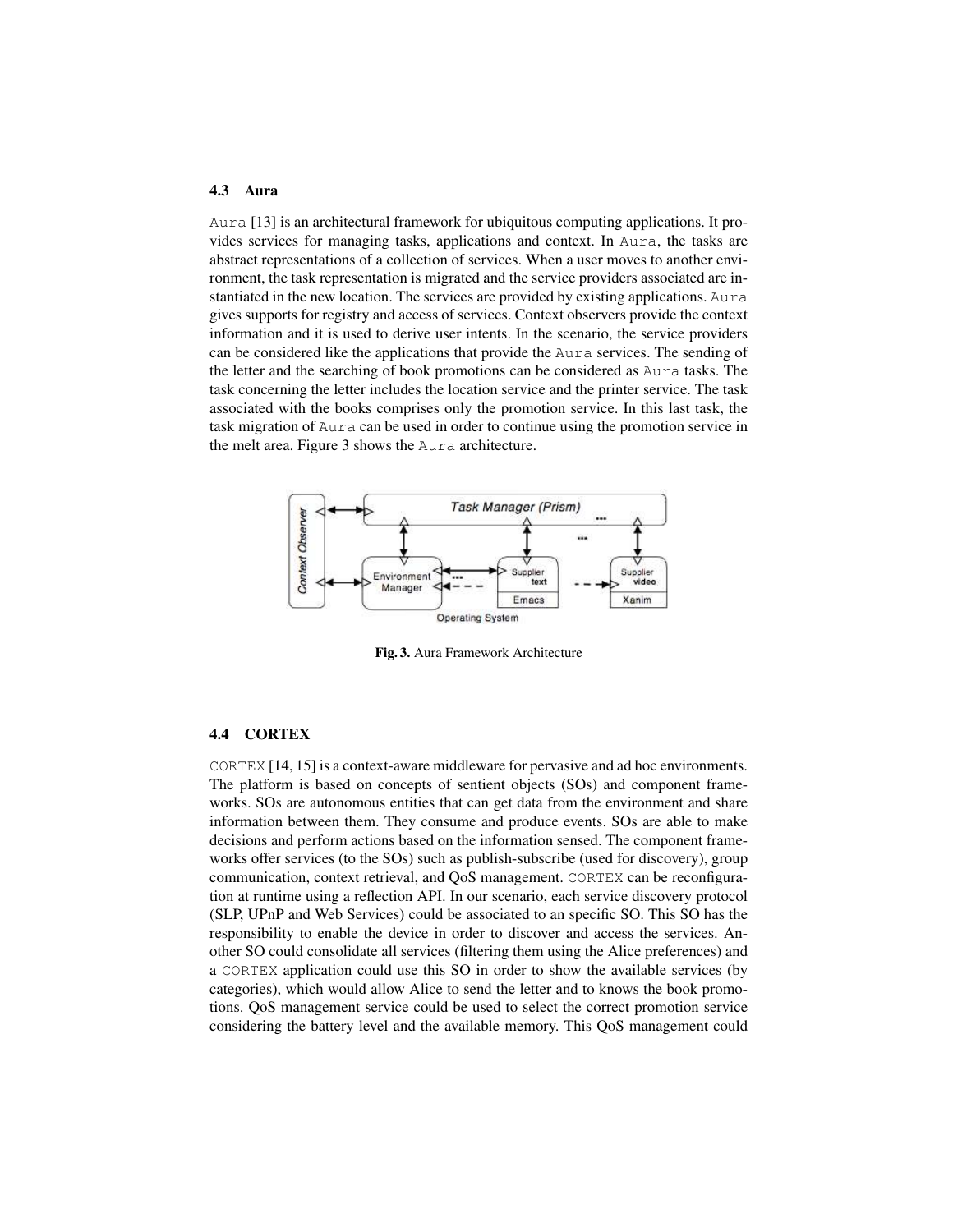#### 4.3 Aura

Aura [13] is an architectural framework for ubiquitous computing applications. It provides services for managing tasks, applications and context. In Aura, the tasks are abstract representations of a collection of services. When a user moves to another environment, the task representation is migrated and the service providers associated are instantiated in the new location. The services are provided by existing applications. Aura gives supports for registry and access of services. Context observers provide the context information and it is used to derive user intents. In the scenario, the service providers can be considered like the applications that provide the Aura services. The sending of the letter and the searching of book promotions can be considered as Aura tasks. The task concerning the letter includes the location service and the printer service. The task associated with the books comprises only the promotion service. In this last task, the task migration of Aura can be used in order to continue using the promotion service in the melt area. Figure 3 shows the Aura architecture.



Fig. 3. Aura Framework Architecture

#### 4.4 CORTEX

CORTEX [14, 15] is a context-aware middleware for pervasive and ad hoc environments. The platform is based on concepts of sentient objects (SOs) and component frameworks. SOs are autonomous entities that can get data from the environment and share information between them. They consume and produce events. SOs are able to make decisions and perform actions based on the information sensed. The component frameworks offer services (to the SOs) such as publish-subscribe (used for discovery), group communication, context retrieval, and QoS management. CORTEX can be reconfiguration at runtime using a reflection API. In our scenario, each service discovery protocol (SLP, UPnP and Web Services) could be associated to an specific SO. This SO has the responsibility to enable the device in order to discover and access the services. Another SO could consolidate all services (filtering them using the Alice preferences) and a CORTEX application could use this SO in order to show the available services (by categories), which would allow Alice to send the letter and to knows the book promotions. QoS management service could be used to select the correct promotion service considering the battery level and the available memory. This QoS management could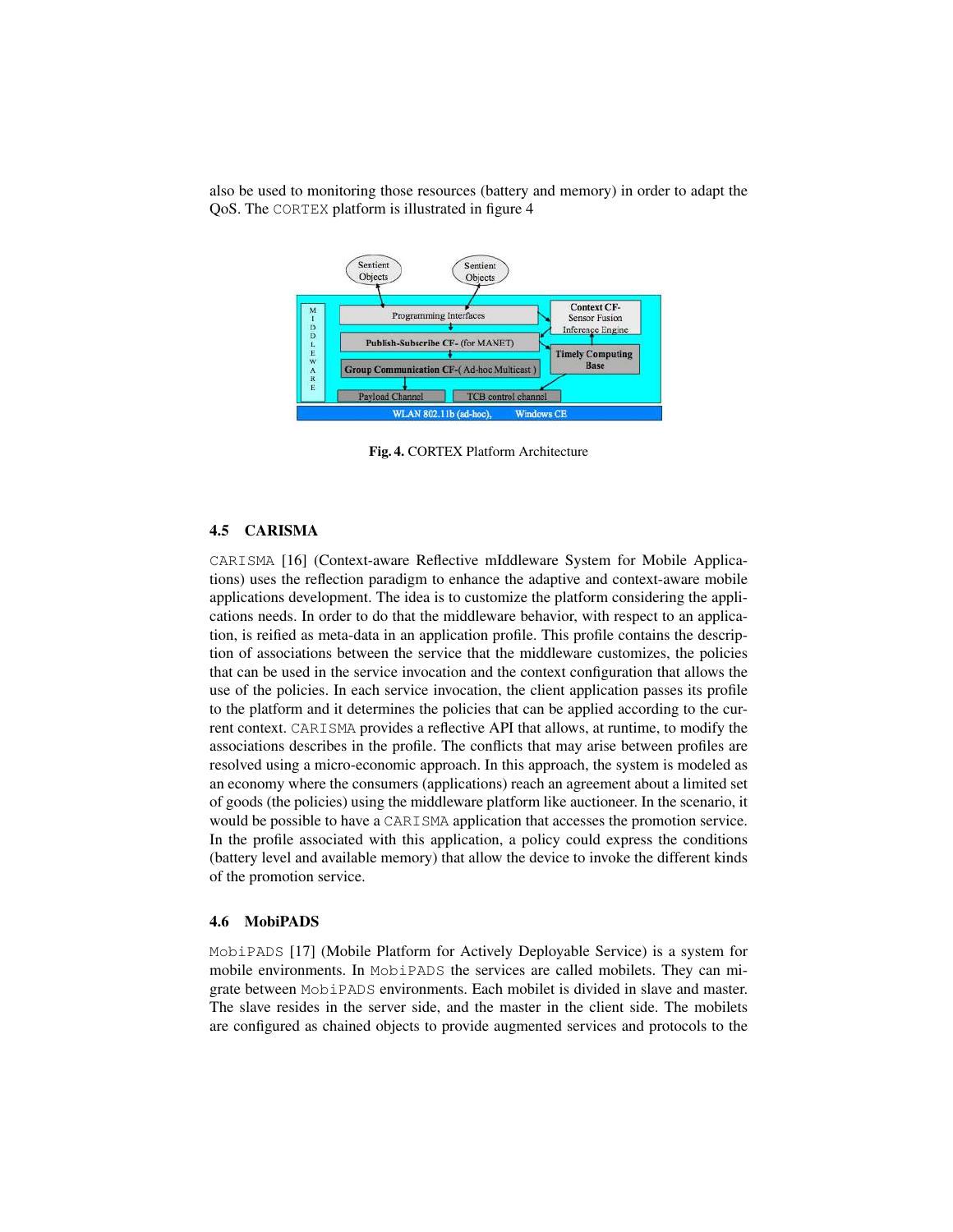



Fig. 4. CORTEX Platform Architecture

### 4.5 CARISMA

CARISMA [16] (Context-aware Reflective mIddleware System for Mobile Applications) uses the reflection paradigm to enhance the adaptive and context-aware mobile applications development. The idea is to customize the platform considering the applications needs. In order to do that the middleware behavior, with respect to an application, is reified as meta-data in an application profile. This profile contains the description of associations between the service that the middleware customizes, the policies that can be used in the service invocation and the context configuration that allows the use of the policies. In each service invocation, the client application passes its profile to the platform and it determines the policies that can be applied according to the current context. CARISMA provides a reflective API that allows, at runtime, to modify the associations describes in the profile. The conflicts that may arise between profiles are resolved using a micro-economic approach. In this approach, the system is modeled as an economy where the consumers (applications) reach an agreement about a limited set of goods (the policies) using the middleware platform like auctioneer. In the scenario, it would be possible to have a CARISMA application that accesses the promotion service. In the profile associated with this application, a policy could express the conditions (battery level and available memory) that allow the device to invoke the different kinds of the promotion service.

#### 4.6 MobiPADS

MobiPADS [17] (Mobile Platform for Actively Deployable Service) is a system for mobile environments. In MobiPADS the services are called mobilets. They can migrate between MobiPADS environments. Each mobilet is divided in slave and master. The slave resides in the server side, and the master in the client side. The mobilets are configured as chained objects to provide augmented services and protocols to the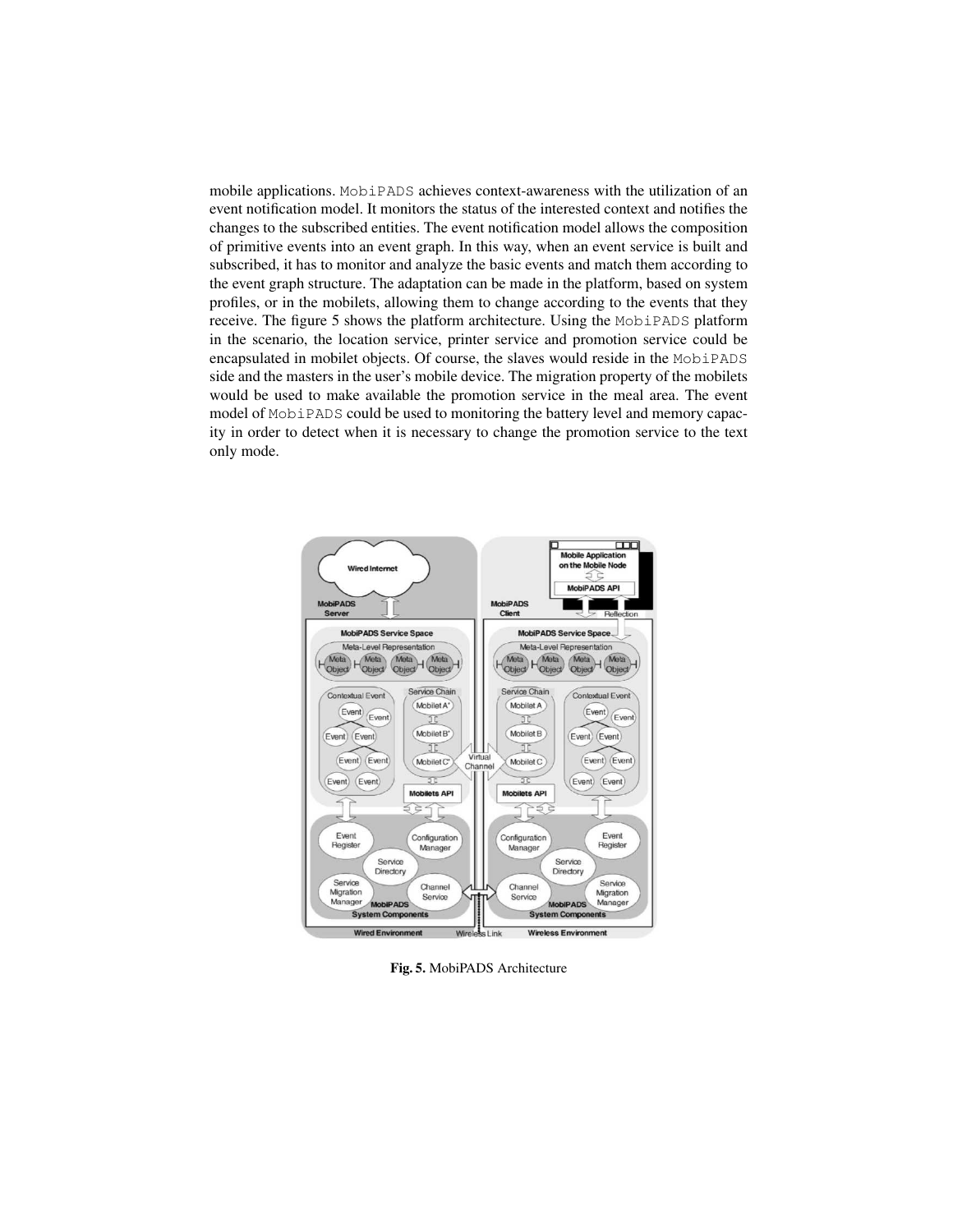mobile applications. MobiPADS achieves context-awareness with the utilization of an event notification model. It monitors the status of the interested context and notifies the changes to the subscribed entities. The event notification model allows the composition of primitive events into an event graph. In this way, when an event service is built and subscribed, it has to monitor and analyze the basic events and match them according to the event graph structure. The adaptation can be made in the platform, based on system profiles, or in the mobilets, allowing them to change according to the events that they receive. The figure 5 shows the platform architecture. Using the MobiPADS platform in the scenario, the location service, printer service and promotion service could be encapsulated in mobilet objects. Of course, the slaves would reside in the MobiPADS side and the masters in the user's mobile device. The migration property of the mobilets would be used to make available the promotion service in the meal area. The event model of MobiPADS could be used to monitoring the battery level and memory capacity in order to detect when it is necessary to change the promotion service to the text only mode.



Fig. 5. MobiPADS Architecture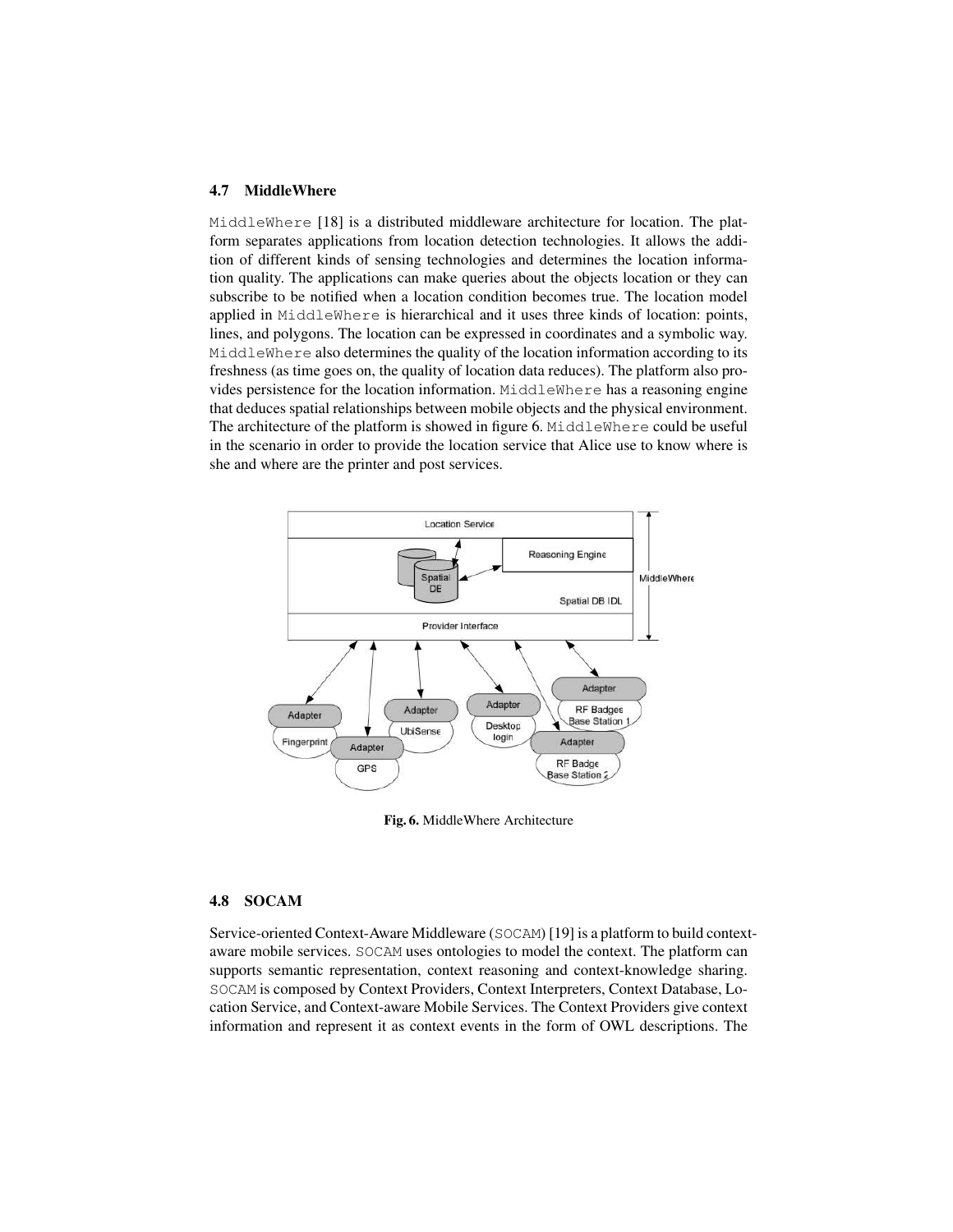#### 4.7 MiddleWhere

MiddleWhere [18] is a distributed middleware architecture for location. The platform separates applications from location detection technologies. It allows the addition of different kinds of sensing technologies and determines the location information quality. The applications can make queries about the objects location or they can subscribe to be notified when a location condition becomes true. The location model applied in MiddleWhere is hierarchical and it uses three kinds of location: points, lines, and polygons. The location can be expressed in coordinates and a symbolic way. MiddleWhere also determines the quality of the location information according to its freshness (as time goes on, the quality of location data reduces). The platform also provides persistence for the location information. MiddleWhere has a reasoning engine that deduces spatial relationships between mobile objects and the physical environment. The architecture of the platform is showed in figure 6. MiddleWhere could be useful in the scenario in order to provide the location service that Alice use to know where is she and where are the printer and post services.



Fig. 6. MiddleWhere Architecture

## 4.8 SOCAM

Service-oriented Context-Aware Middleware (SOCAM) [19] is a platform to build contextaware mobile services. SOCAM uses ontologies to model the context. The platform can supports semantic representation, context reasoning and context-knowledge sharing. SOCAM is composed by Context Providers, Context Interpreters, Context Database, Location Service, and Context-aware Mobile Services. The Context Providers give context information and represent it as context events in the form of OWL descriptions. The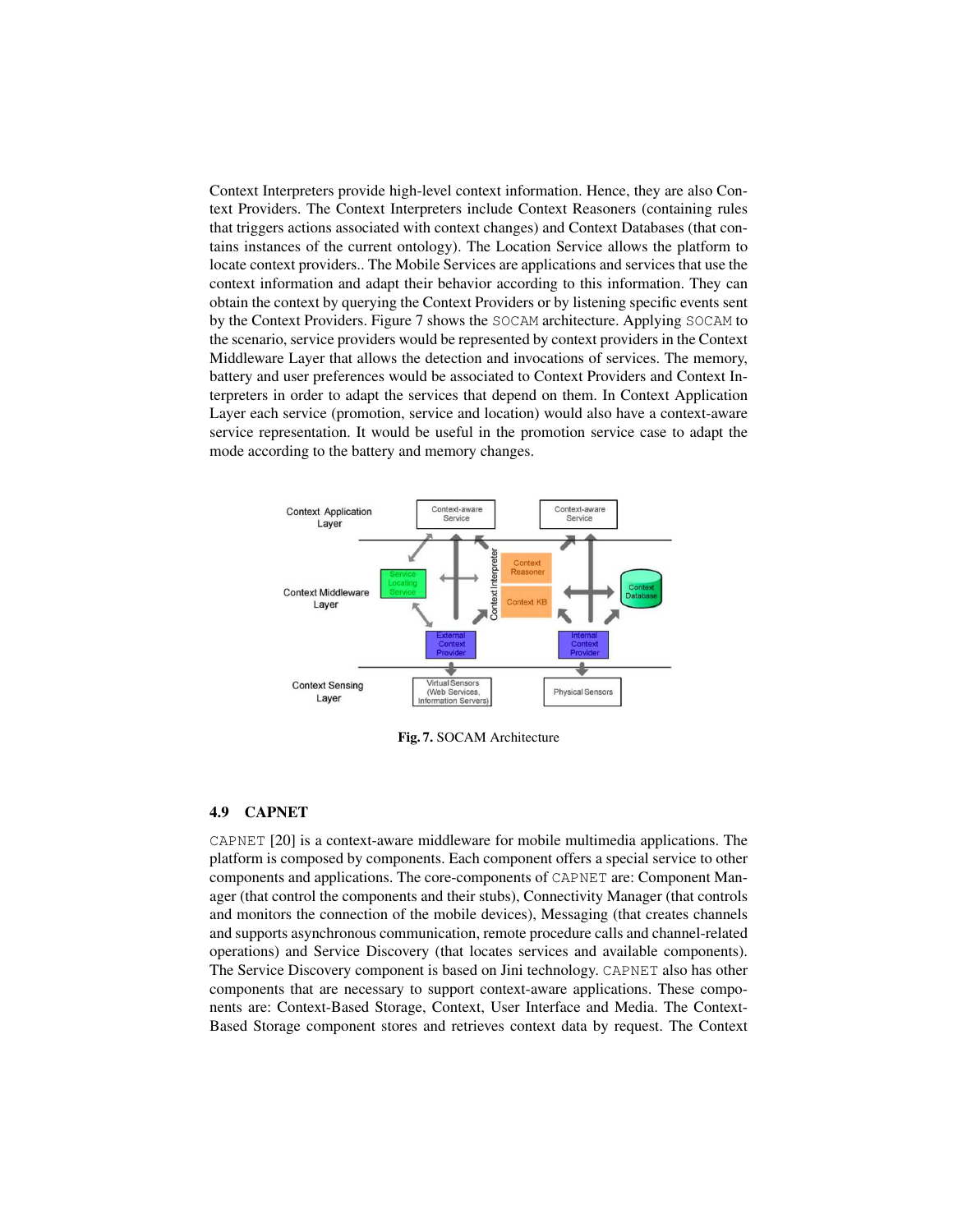Context Interpreters provide high-level context information. Hence, they are also Context Providers. The Context Interpreters include Context Reasoners (containing rules that triggers actions associated with context changes) and Context Databases (that contains instances of the current ontology). The Location Service allows the platform to locate context providers.. The Mobile Services are applications and services that use the context information and adapt their behavior according to this information. They can obtain the context by querying the Context Providers or by listening specific events sent by the Context Providers. Figure 7 shows the SOCAM architecture. Applying SOCAM to the scenario, service providers would be represented by context providers in the Context Middleware Layer that allows the detection and invocations of services. The memory, battery and user preferences would be associated to Context Providers and Context Interpreters in order to adapt the services that depend on them. In Context Application Layer each service (promotion, service and location) would also have a context-aware service representation. It would be useful in the promotion service case to adapt the mode according to the battery and memory changes.



Fig. 7. SOCAM Architecture

#### 4.9 CAPNET

CAPNET [20] is a context-aware middleware for mobile multimedia applications. The platform is composed by components. Each component offers a special service to other components and applications. The core-components of CAPNET are: Component Manager (that control the components and their stubs), Connectivity Manager (that controls and monitors the connection of the mobile devices), Messaging (that creates channels and supports asynchronous communication, remote procedure calls and channel-related operations) and Service Discovery (that locates services and available components). The Service Discovery component is based on Jini technology. CAPNET also has other components that are necessary to support context-aware applications. These components are: Context-Based Storage, Context, User Interface and Media. The Context-Based Storage component stores and retrieves context data by request. The Context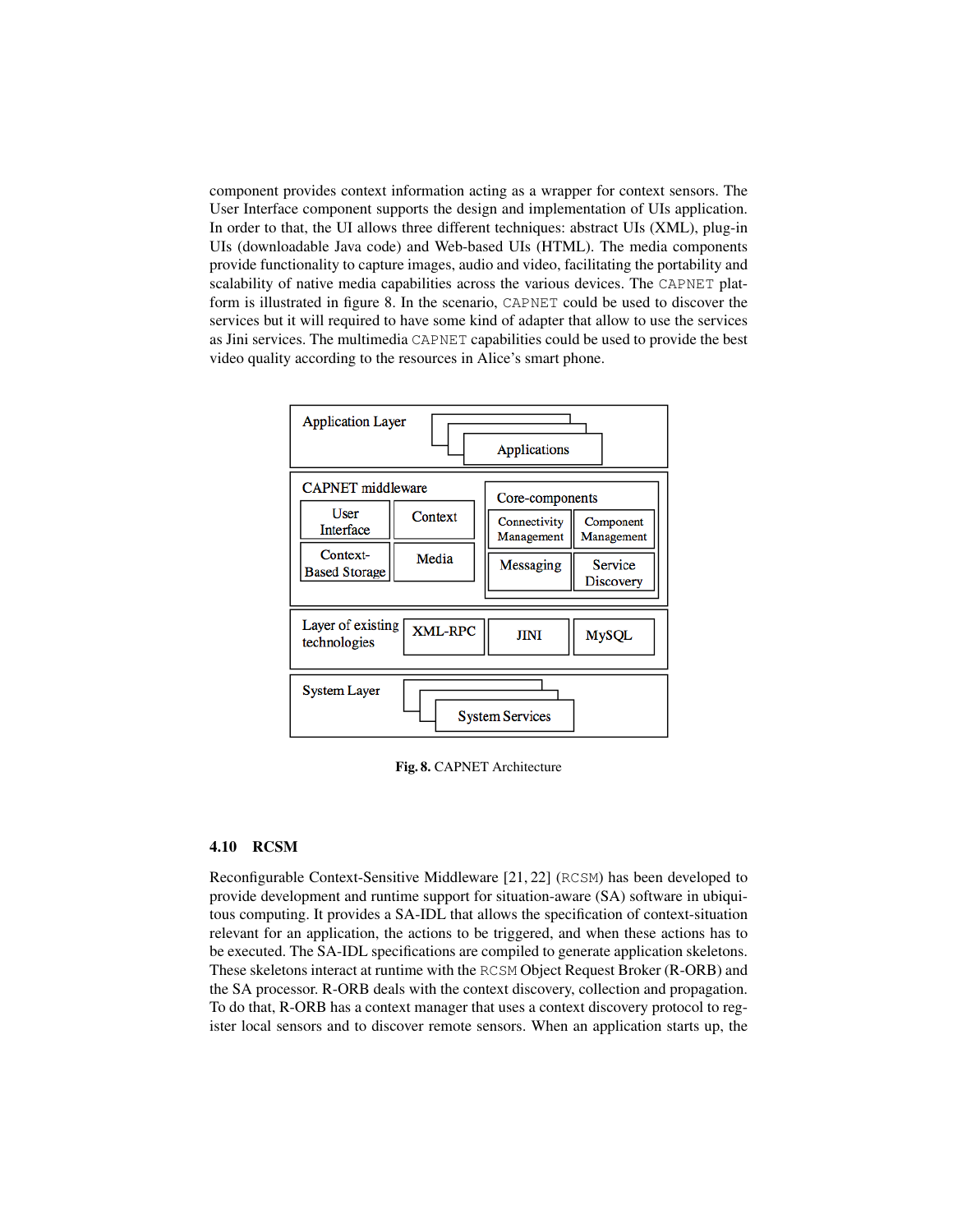component provides context information acting as a wrapper for context sensors. The User Interface component supports the design and implementation of UIs application. In order to that, the UI allows three different techniques: abstract UIs (XML), plug-in UIs (downloadable Java code) and Web-based UIs (HTML). The media components provide functionality to capture images, audio and video, facilitating the portability and scalability of native media capabilities across the various devices. The CAPNET platform is illustrated in figure 8. In the scenario, CAPNET could be used to discover the services but it will required to have some kind of adapter that allow to use the services as Jini services. The multimedia CAPNET capabilities could be used to provide the best video quality according to the resources in Alice's smart phone.



Fig. 8. CAPNET Architecture

#### 4.10 RCSM

Reconfigurable Context-Sensitive Middleware [21, 22] (RCSM) has been developed to provide development and runtime support for situation-aware (SA) software in ubiquitous computing. It provides a SA-IDL that allows the specification of context-situation relevant for an application, the actions to be triggered, and when these actions has to be executed. The SA-IDL specifications are compiled to generate application skeletons. These skeletons interact at runtime with the RCSM Object Request Broker (R-ORB) and the SA processor. R-ORB deals with the context discovery, collection and propagation. To do that, R-ORB has a context manager that uses a context discovery protocol to register local sensors and to discover remote sensors. When an application starts up, the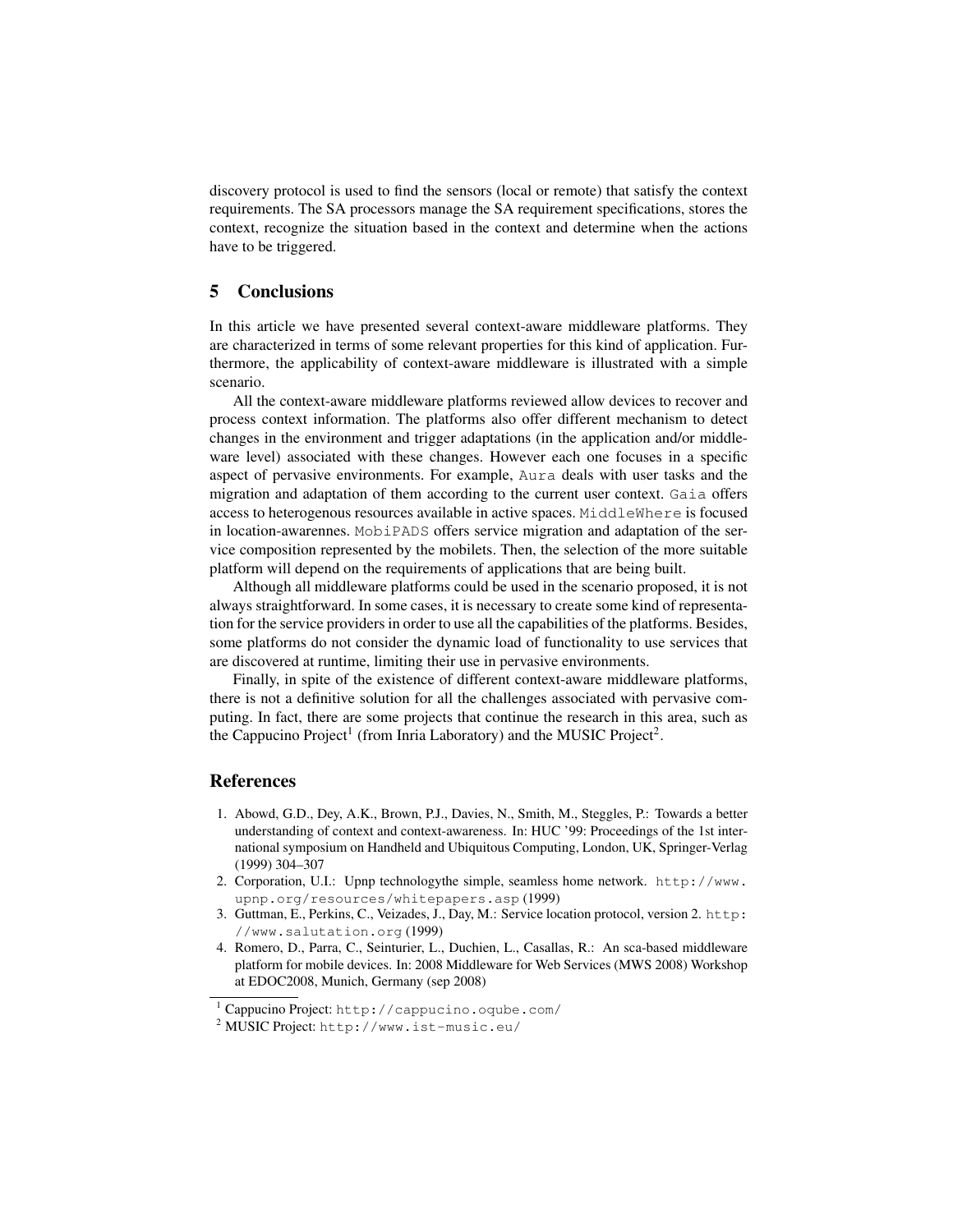discovery protocol is used to find the sensors (local or remote) that satisfy the context requirements. The SA processors manage the SA requirement specifications, stores the context, recognize the situation based in the context and determine when the actions have to be triggered.

### 5 Conclusions

In this article we have presented several context-aware middleware platforms. They are characterized in terms of some relevant properties for this kind of application. Furthermore, the applicability of context-aware middleware is illustrated with a simple scenario.

All the context-aware middleware platforms reviewed allow devices to recover and process context information. The platforms also offer different mechanism to detect changes in the environment and trigger adaptations (in the application and/or middleware level) associated with these changes. However each one focuses in a specific aspect of pervasive environments. For example, Aura deals with user tasks and the migration and adaptation of them according to the current user context. Gaia offers access to heterogenous resources available in active spaces. MiddleWhere is focused in location-awarennes. MobiPADS offers service migration and adaptation of the service composition represented by the mobilets. Then, the selection of the more suitable platform will depend on the requirements of applications that are being built.

Although all middleware platforms could be used in the scenario proposed, it is not always straightforward. In some cases, it is necessary to create some kind of representation for the service providers in order to use all the capabilities of the platforms. Besides, some platforms do not consider the dynamic load of functionality to use services that are discovered at runtime, limiting their use in pervasive environments.

Finally, in spite of the existence of different context-aware middleware platforms, there is not a definitive solution for all the challenges associated with pervasive computing. In fact, there are some projects that continue the research in this area, such as the Cappucino Project<sup>1</sup> (from Inria Laboratory) and the MUSIC Project<sup>2</sup>.

#### **References**

- 1. Abowd, G.D., Dey, A.K., Brown, P.J., Davies, N., Smith, M., Steggles, P.: Towards a better understanding of context and context-awareness. In: HUC '99: Proceedings of the 1st international symposium on Handheld and Ubiquitous Computing, London, UK, Springer-Verlag (1999) 304–307
- 2. Corporation, U.I.: Upnp technologythe simple, seamless home network. http://www. upnp.org/resources/whitepapers.asp (1999)
- 3. Guttman, E., Perkins, C., Veizades, J., Day, M.: Service location protocol, version 2. http: //www.salutation.org (1999)
- 4. Romero, D., Parra, C., Seinturier, L., Duchien, L., Casallas, R.: An sca-based middleware platform for mobile devices. In: 2008 Middleware for Web Services (MWS 2008) Workshop at EDOC2008, Munich, Germany (sep 2008)

<sup>1</sup> Cappucino Project: http://cappucino.oqube.com/

<sup>2</sup> MUSIC Project: http://www.ist-music.eu/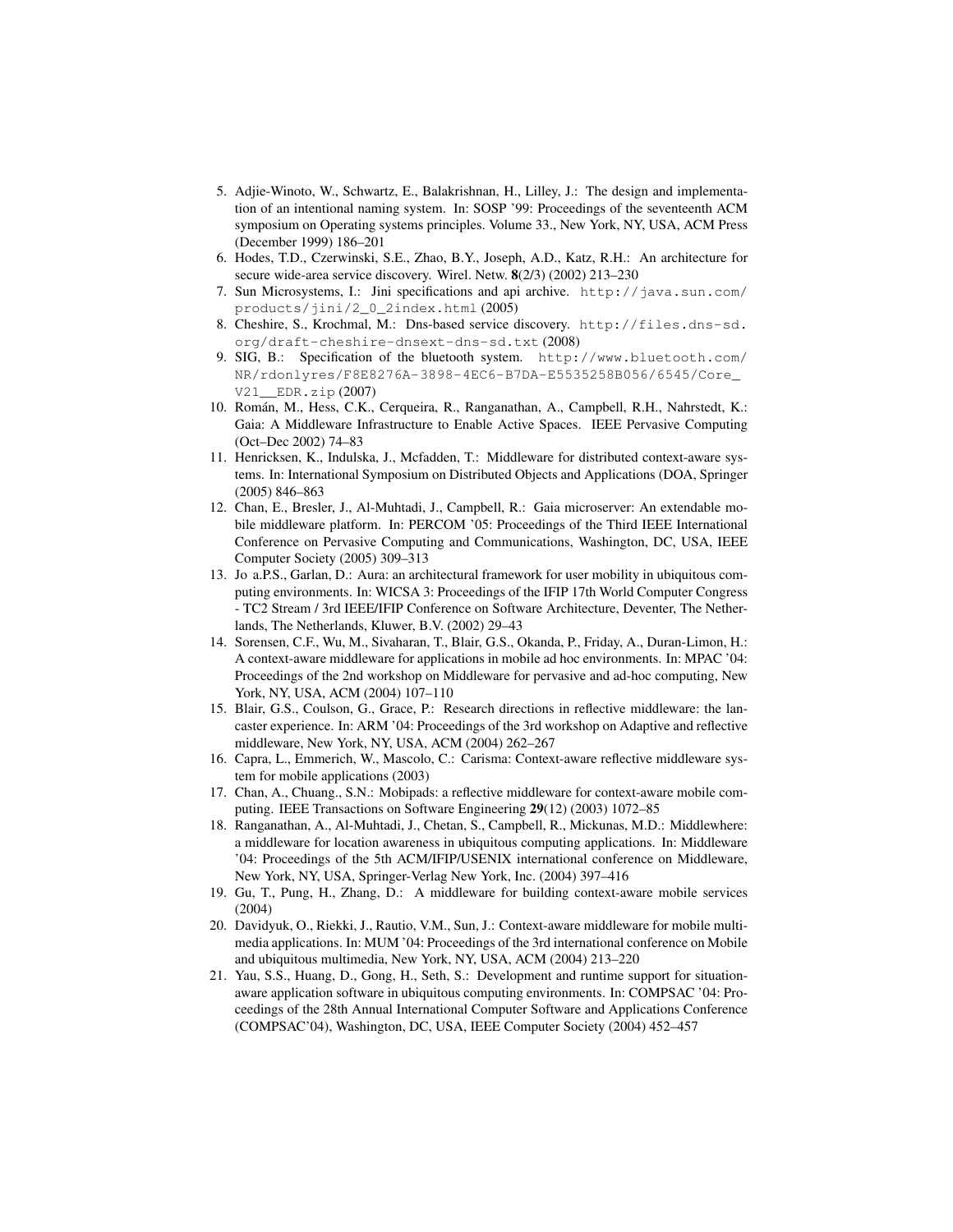- 5. Adjie-Winoto, W., Schwartz, E., Balakrishnan, H., Lilley, J.: The design and implementation of an intentional naming system. In: SOSP '99: Proceedings of the seventeenth ACM symposium on Operating systems principles. Volume 33., New York, NY, USA, ACM Press (December 1999) 186–201
- 6. Hodes, T.D., Czerwinski, S.E., Zhao, B.Y., Joseph, A.D., Katz, R.H.: An architecture for secure wide-area service discovery. Wirel. Netw. 8(2/3) (2002) 213–230
- 7. Sun Microsystems, I.: Jini specifications and api archive. http://java.sun.com/ products/jini/2\_0\_2index.html (2005)
- 8. Cheshire, S., Krochmal, M.: Dns-based service discovery. http://files.dns-sd. org/draft-cheshire-dnsext-dns-sd.txt (2008)
- 9. SIG, B.: Specification of the bluetooth system. http://www.bluetooth.com/ NR/rdonlyres/F8E8276A-3898-4EC6-B7DA-E5535258B056/6545/Core\_ V21\_\_EDR.zip (2007)
- 10. Roman, M., Hess, C.K., Cerqueira, R., Ranganathan, A., Campbell, R.H., Nahrstedt, K.: ´ Gaia: A Middleware Infrastructure to Enable Active Spaces. IEEE Pervasive Computing (Oct–Dec 2002) 74–83
- 11. Henricksen, K., Indulska, J., Mcfadden, T.: Middleware for distributed context-aware systems. In: International Symposium on Distributed Objects and Applications (DOA, Springer (2005) 846–863
- 12. Chan, E., Bresler, J., Al-Muhtadi, J., Campbell, R.: Gaia microserver: An extendable mobile middleware platform. In: PERCOM '05: Proceedings of the Third IEEE International Conference on Pervasive Computing and Communications, Washington, DC, USA, IEEE Computer Society (2005) 309–313
- 13. Jo a.P.S., Garlan, D.: Aura: an architectural framework for user mobility in ubiquitous computing environments. In: WICSA 3: Proceedings of the IFIP 17th World Computer Congress - TC2 Stream / 3rd IEEE/IFIP Conference on Software Architecture, Deventer, The Netherlands, The Netherlands, Kluwer, B.V. (2002) 29–43
- 14. Sorensen, C.F., Wu, M., Sivaharan, T., Blair, G.S., Okanda, P., Friday, A., Duran-Limon, H.: A context-aware middleware for applications in mobile ad hoc environments. In: MPAC '04: Proceedings of the 2nd workshop on Middleware for pervasive and ad-hoc computing, New York, NY, USA, ACM (2004) 107–110
- 15. Blair, G.S., Coulson, G., Grace, P.: Research directions in reflective middleware: the lancaster experience. In: ARM '04: Proceedings of the 3rd workshop on Adaptive and reflective middleware, New York, NY, USA, ACM (2004) 262–267
- 16. Capra, L., Emmerich, W., Mascolo, C.: Carisma: Context-aware reflective middleware system for mobile applications (2003)
- 17. Chan, A., Chuang., S.N.: Mobipads: a reflective middleware for context-aware mobile computing. IEEE Transactions on Software Engineering 29(12) (2003) 1072–85
- 18. Ranganathan, A., Al-Muhtadi, J., Chetan, S., Campbell, R., Mickunas, M.D.: Middlewhere: a middleware for location awareness in ubiquitous computing applications. In: Middleware '04: Proceedings of the 5th ACM/IFIP/USENIX international conference on Middleware, New York, NY, USA, Springer-Verlag New York, Inc. (2004) 397–416
- 19. Gu, T., Pung, H., Zhang, D.: A middleware for building context-aware mobile services (2004)
- 20. Davidyuk, O., Riekki, J., Rautio, V.M., Sun, J.: Context-aware middleware for mobile multimedia applications. In: MUM '04: Proceedings of the 3rd international conference on Mobile and ubiquitous multimedia, New York, NY, USA, ACM (2004) 213–220
- 21. Yau, S.S., Huang, D., Gong, H., Seth, S.: Development and runtime support for situationaware application software in ubiquitous computing environments. In: COMPSAC '04: Proceedings of the 28th Annual International Computer Software and Applications Conference (COMPSAC'04), Washington, DC, USA, IEEE Computer Society (2004) 452–457